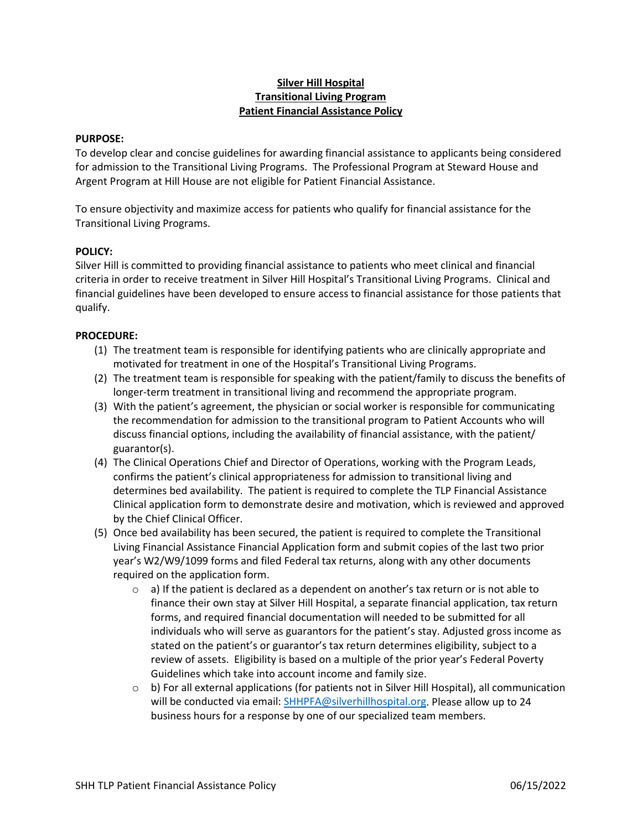# **Silver Hill Hospital Transitional Living Program Patient Financial Assistance Policy**

#### **PURPOSE:**

To develop clear and concise guidelines for awarding financial assistance to applicants being considered for admission to the Transitional Living Programs. The Professional Program at Steward House and Argent Program at Hill House are not eligible for Patient Financial Assistance.

To ensure objectivity and maximize access for patients who qualify for financial assistance for the Transitional Living Programs.

### **POLICY:**

Silver Hill is committed to providing financial assistance to patients who meet clinical and financial criteria in order to receive treatment in Silver Hill Hospital's Transitional Living Programs. Clinical and financial guidelines have been developed to ensure access to financial assistance for those patients that qualify.

### **PROCEDURE:**

- (1) The treatment team is responsible for identifying patients who are clinically appropriate and motivated for treatment in one of the Hospital's Transitional Living Programs.
- (2) The treatment team is responsible for speaking with the patient/family to discuss the benefits of longer-term treatment in transitional living and recommend the appropriate program.
- (3) With the patient's agreement, the physician or social worker is responsible for communicating the recommendation for admission to the transitional program to Patient Accounts who will discuss financial options, including the availability of financial assistance, with the patient/ guarantor(s).
- (4) The Clinical Operations Chief and Director of Operations, working with the Program Leads, confirms the patient's clinical appropriateness for admission to transitional living and determines bed availability. The patient is required to complete the TLP Financial Assistance Clinical application form to demonstrate desire and motivation, which is reviewed and approved by the Chief Clinical Officer.
- (5) Once bed availability has been secured, the patient is required to complete the Transitional Living Financial Assistance Financial Application form and submit copies of the last two prior year's W2/W9/1099 forms and filed Federal tax returns, along with any other documents required on the application form.
	- $\circ$  a) If the patient is declared as a dependent on another's tax return or is not able to finance their own stay at Silver Hill Hospital, a separate financial application, tax return forms, and required financial documentation will needed to be submitted for all individuals who will serve as guarantors for the patient's stay. Adjusted gross income as stated on the patient's or guarantor's tax return determines eligibility, subject to a review of assets. Eligibility is based on a multiple of the prior year's Federal Poverty Guidelines which take into account income and family size.
	- $\circ$  b) For all external applications (for patients not in Silver Hill Hospital), all communication will be conducted via email: [SHHPFA@silverhillhospital.org.](mailto:SHHPFA@silverhillhospital.org) Please allow up to 24 business hours for a response by one of our specialized team members.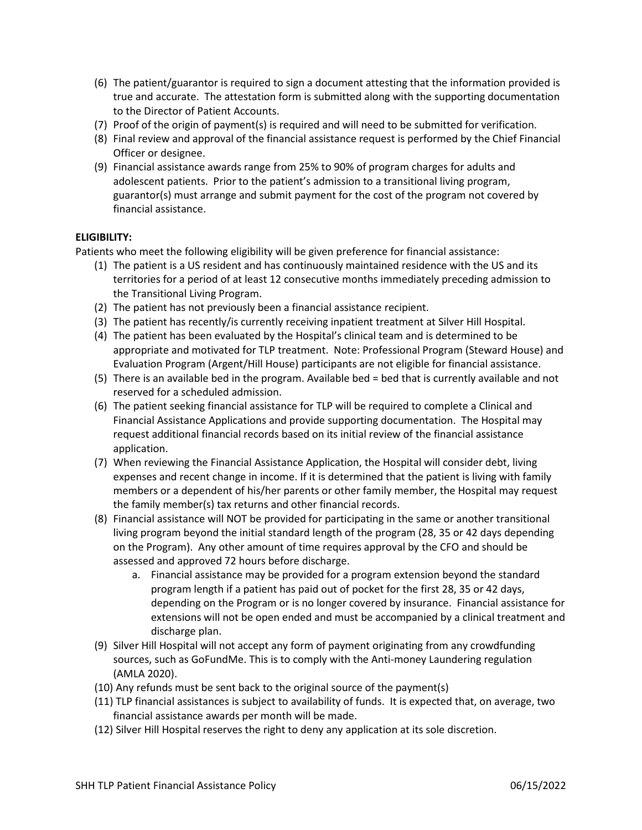- (6) The patient/guarantor is required to sign a document attesting that the information provided is true and accurate. The attestation form is submitted along with the supporting documentation to the Director of Patient Accounts.
- (7) Proof of the origin of payment(s) is required and will need to be submitted for verification.
- (8) Final review and approval of the financial assistance request is performed by the Chief Financial Officer or designee.
- (9) Financial assistance awards range from 25% to 90% of program charges for adults and adolescent patients. Prior to the patient's admission to a transitional living program, guarantor(s) must arrange and submit payment for the cost of the program not covered by financial assistance.

## **ELIGIBILITY:**

Patients who meet the following eligibility will be given preference for financial assistance:

- (1) The patient is a US resident and has continuously maintained residence with the US and its territories for a period of at least 12 consecutive months immediately preceding admission to the Transitional Living Program.
- (2) The patient has not previously been a financial assistance recipient.
- (3) The patient has recently/is currently receiving inpatient treatment at Silver Hill Hospital.
- (4) The patient has been evaluated by the Hospital's clinical team and is determined to be appropriate and motivated for TLP treatment. Note: Professional Program (Steward House) and Evaluation Program (Argent/Hill House) participants are not eligible for financial assistance.
- (5) There is an available bed in the program. Available bed = bed that is currently available and not reserved for a scheduled admission.
- (6) The patient seeking financial assistance for TLP will be required to complete a Clinical and Financial Assistance Applications and provide supporting documentation. The Hospital may request additional financial records based on its initial review of the financial assistance application.
- (7) When reviewing the Financial Assistance Application, the Hospital will consider debt, living expenses and recent change in income. If it is determined that the patient is living with family members or a dependent of his/her parents or other family member, the Hospital may request the family member(s) tax returns and other financial records.
- (8) Financial assistance will NOT be provided for participating in the same or another transitional living program beyond the initial standard length of the program (28, 35 or 42 days depending on the Program). Any other amount of time requires approval by the CFO and should be assessed and approved 72 hours before discharge.
	- a. Financial assistance may be provided for a program extension beyond the standard program length if a patient has paid out of pocket for the first 28, 35 or 42 days, depending on the Program or is no longer covered by insurance. Financial assistance for extensions will not be open ended and must be accompanied by a clinical treatment and discharge plan.
- (9) Silver Hill Hospital will not accept any form of payment originating from any crowdfunding sources, such as GoFundMe. This is to comply with the Anti-money Laundering regulation (AMLA 2020).
- (10) Any refunds must be sent back to the original source of the payment(s)
- (11) TLP financial assistances is subject to availability of funds. It is expected that, on average, two financial assistance awards per month will be made.
- (12) Silver Hill Hospital reserves the right to deny any application at its sole discretion.